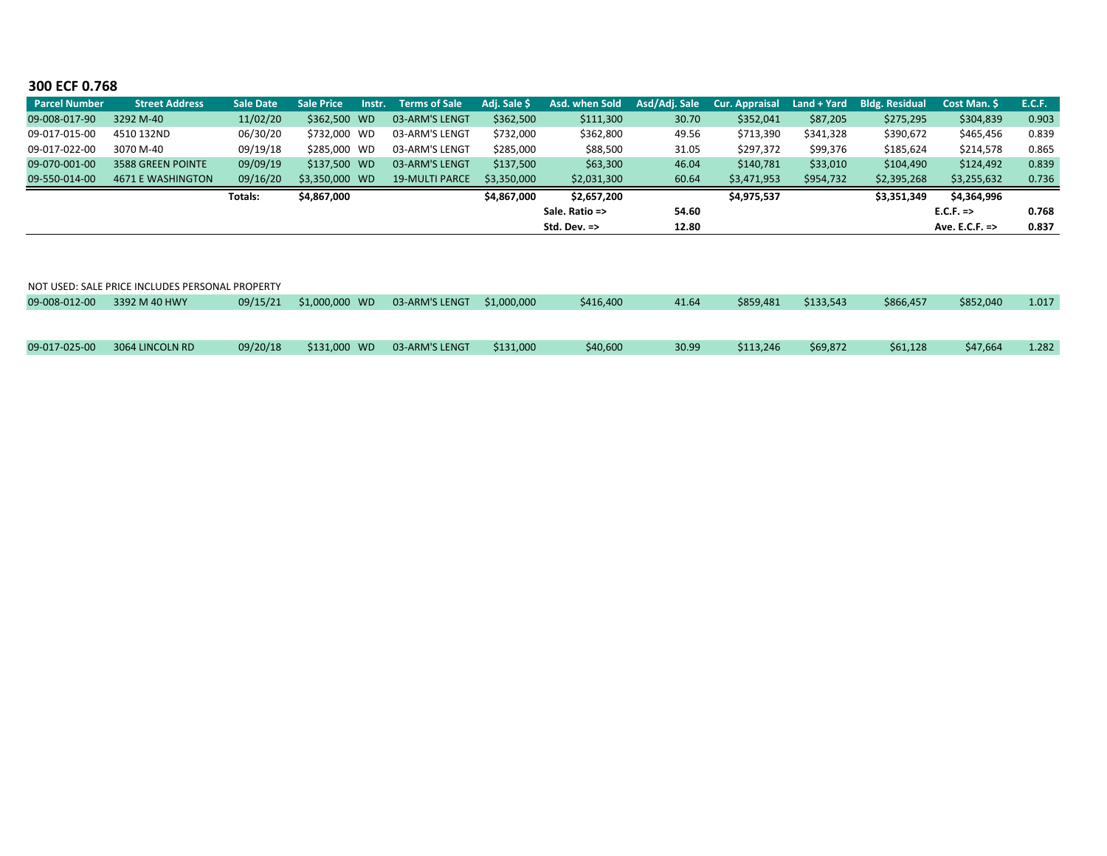## **300 ECF 0.768**

| <b>Parcel Number</b> | <b>Street Address</b>    | <b>Sale Date</b> | <b>Sale Price</b> | Instr. | <b>Terms of Sale</b>  | Adj. Sale \$ | Asd. when Sold          |       | Asd/Adj. Sale Cur. Appraisal | $Land + Yard$ | <b>Bldg. Residual</b> | <b>Cost Man. S</b>        | <b>E.C.F.</b> |
|----------------------|--------------------------|------------------|-------------------|--------|-----------------------|--------------|-------------------------|-------|------------------------------|---------------|-----------------------|---------------------------|---------------|
| 09-008-017-90        | 3292 M-40                | 11/02/20         | \$362,500 WD      |        | 03-ARM'S LENGT        | \$362,500    | \$111,300               | 30.70 | \$352,041                    | \$87,205      | \$275,295             | \$304,839                 | 0.903         |
| 09-017-015-00        | 4510 132ND               | 06/30/20         | \$732.000 WD      |        | 03-ARM'S LENGT        | \$732,000    | \$362,800               | 49.56 | \$713,390                    | \$341,328     | \$390,672             | \$465,456                 | 0.839         |
| 09-017-022-00        | 3070 M-40                | 09/19/18         | \$285,000 WD      |        | 03-ARM'S LENGT        | \$285,000    | \$88,500                | 31.05 | \$297,372                    | \$99,376      | \$185,624             | \$214,578                 | 0.865         |
| 09-070-001-00        | 3588 GREEN POINTE        | 09/09/19         | \$137,500 WD      |        | 03-ARM'S LENGT        | \$137,500    | \$63,300                | 46.04 | \$140,781                    | \$33,010      | \$104,490             | \$124,492                 | 0.839         |
| 09-550-014-00        | <b>4671 E WASHINGTON</b> | 09/16/20         | \$3,350,000 WD    |        | <b>19-MULTI PARCE</b> | \$3,350,000  | \$2,031,300             | 60.64 | \$3,471,953                  | \$954,732     | \$2,395,268           | \$3,255,632               | 0.736         |
|                      |                          | Totals:          | \$4,867,000       |        |                       | \$4,867,000  | \$2,657,200             |       | \$4,975,537                  |               | \$3,351,349           | \$4,364,996               |               |
|                      |                          |                  |                   |        |                       |              | Sale. Ratio =>          | 54.60 |                              |               |                       | $E.C.F. \Rightarrow$      | 0.768         |
|                      |                          |                  |                   |        |                       |              | Std. Dev. $\Rightarrow$ | 12.80 |                              |               |                       | Ave. E.C.F. $\Rightarrow$ | 0.837         |

|               | NOT USED: SALE PRICE INCLUDES PERSONAL PROPERTY |          |                |                |             |           |       |           |           |           |           |       |
|---------------|-------------------------------------------------|----------|----------------|----------------|-------------|-----------|-------|-----------|-----------|-----------|-----------|-------|
| 09-008-012-00 | 3392 M 40 HWY                                   | 09/15/21 | \$1,000,000 WD | 03-ARM'S LENGT | \$1,000,000 | \$416,400 | 41.64 | \$859.481 | \$133.543 | \$866.457 | \$852,040 | 1.017 |
|               |                                                 |          |                |                |             |           |       |           |           |           |           |       |
|               |                                                 |          |                |                |             |           |       |           |           |           |           |       |
| 09-017-025-00 | 3064 LINCOLN RD                                 | 09/20/18 | \$131,000 WD   | 03-ARM'S LENGT | \$131,000   | \$40,600  | 30.99 | \$113.246 | \$69.872  | \$61,128  | \$47.664  | 1.282 |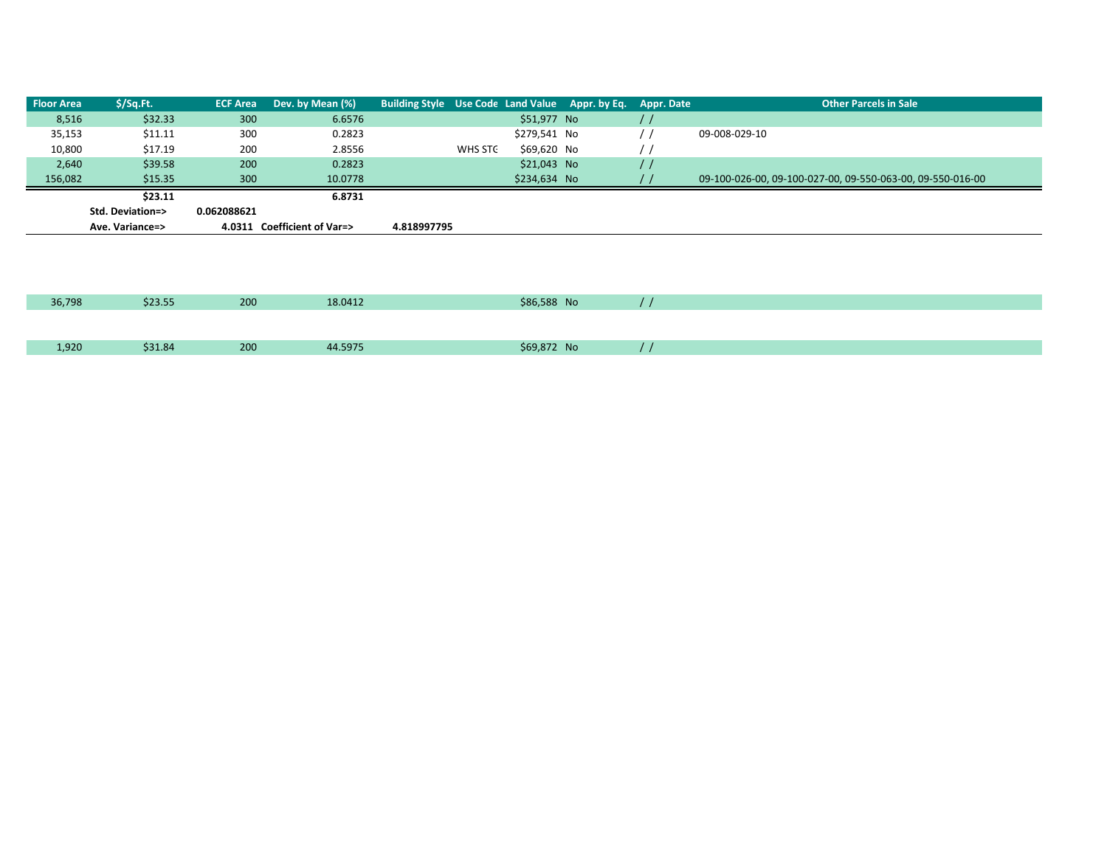| <b>Floor Area</b> | \$/Sq.Ft.        |             | <b>ECF Area</b> Dev. by Mean (%) | Building Style Use Code Land Value Appr. by Eq. Appr. Date |         |              |  | <b>Other Parcels in Sale</b>                               |
|-------------------|------------------|-------------|----------------------------------|------------------------------------------------------------|---------|--------------|--|------------------------------------------------------------|
| 8,516             | \$32.33          | 300         | 6.6576                           |                                                            |         | \$51,977 No  |  |                                                            |
| 35,153            | \$11.11          | 300         | 0.2823                           |                                                            |         | \$279,541 No |  | 09-008-029-10                                              |
| 10,800            | \$17.19          | 200         | 2.8556                           |                                                            | WHS STC | \$69,620 No  |  |                                                            |
| 2,640             | \$39.58          | 200         | 0.2823                           |                                                            |         | \$21,043 No  |  |                                                            |
| 156,082           | \$15.35          | 300         | 10.0778                          |                                                            |         | \$234,634 No |  | 09-100-026-00, 09-100-027-00, 09-550-063-00, 09-550-016-00 |
|                   | \$23.11          |             | 6.8731                           |                                                            |         |              |  |                                                            |
|                   | Std. Deviation=> | 0.062088621 |                                  |                                                            |         |              |  |                                                            |
|                   | Ave. Variance=>  |             | 4.0311 Coefficient of Var=>      | 4.818997795                                                |         |              |  |                                                            |
|                   |                  |             |                                  |                                                            |         |              |  |                                                            |

| 36,798 | \$23.55 | 200 | 18.0412 | \$86,588 No |  |
|--------|---------|-----|---------|-------------|--|
|        |         |     |         |             |  |
| 1,920  | \$31.84 | 200 | 14.5975 | \$69,872 No |  |